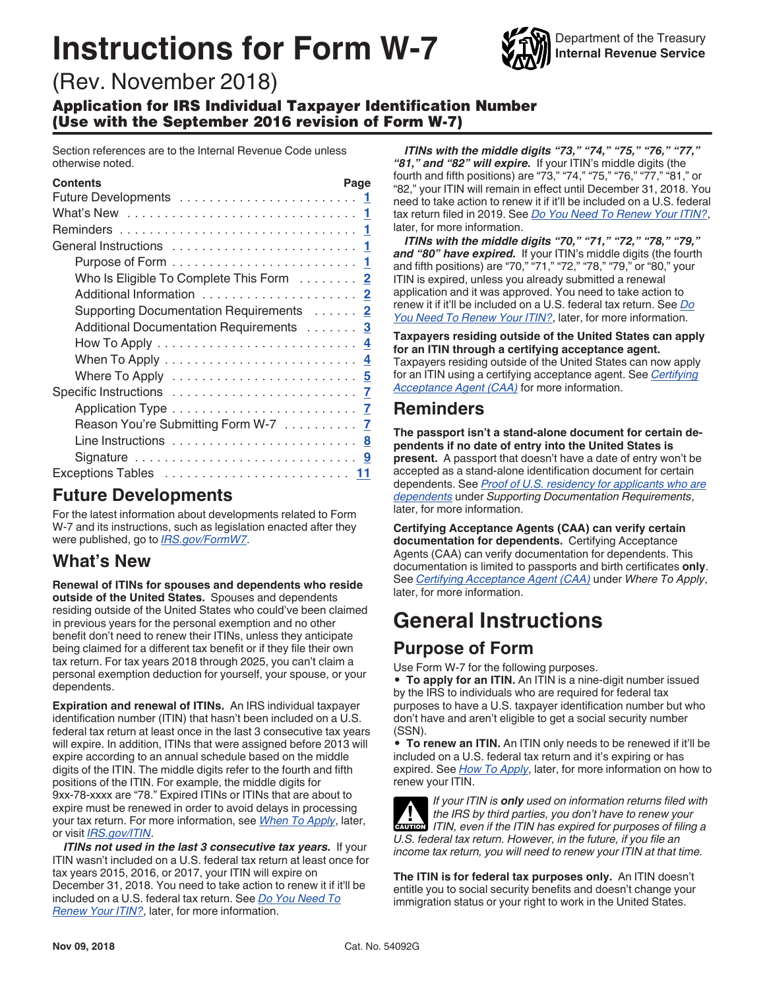# **Instructions for Form W-7**



# (Rev. November 2018)

Application for IRS Individual Taxpayer Identification Number (Use with the September 2016 revision of Form W-7)

Section references are to the Internal Revenue Code unless otherwise noted.

| <b>Contents</b>                                                               | Page |
|-------------------------------------------------------------------------------|------|
|                                                                               |      |
|                                                                               |      |
|                                                                               |      |
|                                                                               |      |
|                                                                               |      |
| Who Is Eligible To Complete This Form 2                                       |      |
|                                                                               |      |
| Supporting Documentation Requirements 2                                       |      |
| Additional Documentation Requirements 3                                       |      |
| How To Apply $\dots \dots \dots \dots \dots \dots \dots \dots \dots \dots$    |      |
| When To Apply $\dots\dots\dots\dots\dots\dots\dots\dots\dots\dots\frac{4}{2}$ |      |
|                                                                               |      |
|                                                                               |      |
|                                                                               |      |
| Reason You're Submitting Form W-7 7                                           |      |
|                                                                               |      |
|                                                                               |      |
|                                                                               |      |

### **Future Developments**

For the latest information about developments related to Form W-7 and its instructions, such as legislation enacted after they were published, go to *[IRS.gov/FormW7](https://www.irs.gov/formw7)*.

# **What's New**

**Renewal of ITINs for spouses and dependents who reside outside of the United States.** Spouses and dependents residing outside of the United States who could've been claimed in previous years for the personal exemption and no other benefit don't need to renew their ITINs, unless they anticipate being claimed for a different tax benefit or if they file their own tax return. For tax years 2018 through 2025, you can't claim a personal exemption deduction for yourself, your spouse, or your dependents.

**Expiration and renewal of ITINs.** An IRS individual taxpayer identification number (ITIN) that hasn't been included on a U.S. federal tax return at least once in the last 3 consecutive tax years will expire. In addition, ITINs that were assigned before 2013 will expire according to an annual schedule based on the middle digits of the ITIN. The middle digits refer to the fourth and fifth positions of the ITIN. For example, the middle digits for 9xx-78-xxxx are "78." Expired ITINs or ITINs that are about to expire must be renewed in order to avoid delays in processing your tax return. For more information, see *[When To Apply](#page-3-0)*, later, or visit *[IRS.gov/ITIN](https://www.irs.gov/itin)*.

*ITINs not used in the last 3 consecutive tax years.* **If your** ITIN wasn't included on a U.S. federal tax return at least once for tax years 2015, 2016, or 2017, your ITIN will expire on December 31, 2018. You need to take action to renew it if it'll be included on a U.S. federal tax return. See *[Do You Need To](#page-5-0)  [Renew Your ITIN?](#page-5-0)*, later, for more information.

*ITINs with the middle digits "73," "74," "75," "76," "77," "81," and "82" will expire.* If your ITIN's middle digits (the fourth and fifth positions) are "73," "74," "75," "76," "77," "81," or "82," your ITIN will remain in effect until December 31, 2018. You need to take action to renew it if it'll be included on a U.S. federal tax return filed in 2019. See *[Do You Need To Renew Your ITIN?](#page-5-0)*, later, for more information.

*ITINs with the middle digits "70," "71," "72," "78," "79,"*  and "80" have expired. If your ITIN's middle digits (the fourth and fifth positions) are "70," "71," "72," "78," "79," or "80," your ITIN is expired, unless you already submitted a renewal application and it was approved. You need to take action to renew it if it'll be included on a U.S. federal tax return. See *[Do](#page-5-0) [You Need To Renew Your ITIN?](#page-5-0)*, later, for more information.

**Taxpayers residing outside of the United States can apply for an ITIN through a certifying acceptance agent.**  Taxpayers residing outside of the United States can now apply for an ITIN using a certifying acceptance agent. See *[Certifying](#page-4-0) [Acceptance Agent \(CAA\)](#page-4-0)* for more information.

### **Reminders**

**The passport isn't a stand-alone document for certain dependents if no date of entry into the United States is present.** A passport that doesn't have a date of entry won't be accepted as a stand-alone identification document for certain dependents. See *[Proof of U.S. residency for applicants who are](#page-2-0)  [dependents](#page-2-0)* under *Supporting Documentation Requirements*, later, for more information.

**Certifying Acceptance Agents (CAA) can verify certain documentation for dependents.** Certifying Acceptance Agents (CAA) can verify documentation for dependents. This documentation is limited to passports and birth certificates **only**. See *[Certifying Acceptance Agent \(CAA\)](#page-4-0)* under *Where To Apply*, later, for more information.

# **General Instructions**

# **Purpose of Form**

Use Form W-7 for the following purposes.

• **To apply for an ITIN.** An ITIN is a nine-digit number issued by the IRS to individuals who are required for federal tax purposes to have a U.S. taxpayer identification number but who don't have and aren't eligible to get a social security number (SSN).

• **To renew an ITIN.** An ITIN only needs to be renewed if it'll be included on a U.S. federal tax return and it's expiring or has expired. See *[How To Apply](#page-3-0)*, later, for more information on how to renew your ITIN.

*If your ITIN is only used on information returns filed with the IRS by third parties, you don't have to renew your*  **If the IRS by third parties, you don't have to renew your favor of Filing a and <b>CAUTION**  $\overline{I}$ *U.S. federal tax return. However, in the future, if you file an income tax return, you will need to renew your ITIN at that time.*

**The ITIN is for federal tax purposes only.** An ITIN doesn't entitle you to social security benefits and doesn't change your immigration status or your right to work in the United States.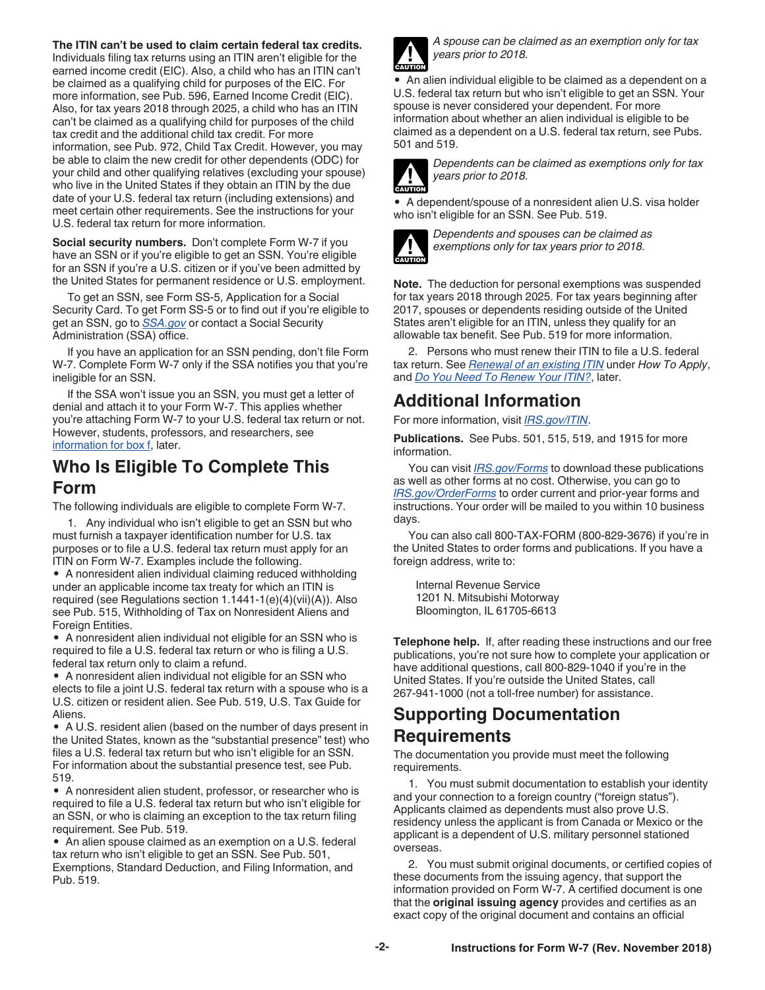<span id="page-1-0"></span>**The ITIN can't be used to claim certain federal tax credits.**  Individuals filing tax returns using an ITIN aren't eligible for the earned income credit (EIC). Also, a child who has an ITIN can't be claimed as a qualifying child for purposes of the EIC. For more information, see Pub. 596, Earned Income Credit (EIC). Also, for tax years 2018 through 2025, a child who has an ITIN can't be claimed as a qualifying child for purposes of the child tax credit and the additional child tax credit. For more information, see Pub. 972, Child Tax Credit. However, you may be able to claim the new credit for other dependents (ODC) for your child and other qualifying relatives (excluding your spouse) who live in the United States if they obtain an ITIN by the due date of your U.S. federal tax return (including extensions) and meet certain other requirements. See the instructions for your U.S. federal tax return for more information.

**Social security numbers.** Don't complete Form W-7 if you have an SSN or if you're eligible to get an SSN. You're eligible for an SSN if you're a U.S. citizen or if you've been admitted by the United States for permanent residence or U.S. employment.

To get an SSN, see Form SS-5, Application for a Social Security Card. To get Form SS-5 or to find out if you're eligible to get an SSN, go to *[SSA.gov](https://www.socialsecurity.gov)* or contact a Social Security Administration (SSA) office.

If you have an application for an SSN pending, don't file Form W-7. Complete Form W-7 only if the SSA notifies you that you're ineligible for an SSN.

If the SSA won't issue you an SSN, you must get a letter of denial and attach it to your Form W-7. This applies whether you're attaching Form W-7 to your U.S. federal tax return or not. However, students, professors, and researchers, see [information for box f](#page-6-0), later.

### **Who Is Eligible To Complete This Form**

The following individuals are eligible to complete Form W-7.

1. Any individual who isn't eligible to get an SSN but who must furnish a taxpayer identification number for U.S. tax purposes or to file a U.S. federal tax return must apply for an ITIN on Form W-7. Examples include the following.

• A nonresident alien individual claiming reduced withholding under an applicable income tax treaty for which an ITIN is required (see Regulations section 1.1441-1(e)(4)(vii)(A)). Also see Pub. 515, Withholding of Tax on Nonresident Aliens and Foreign Entities.

• A nonresident alien individual not eligible for an SSN who is required to file a U.S. federal tax return or who is filing a U.S. federal tax return only to claim a refund.

• A nonresident alien individual not eligible for an SSN who elects to file a joint U.S. federal tax return with a spouse who is a U.S. citizen or resident alien. See Pub. 519, U.S. Tax Guide for Aliens.

• A U.S. resident alien (based on the number of days present in the United States, known as the "substantial presence" test) who files a U.S. federal tax return but who isn't eligible for an SSN. For information about the substantial presence test, see Pub. 519.

• A nonresident alien student, professor, or researcher who is required to file a U.S. federal tax return but who isn't eligible for an SSN, or who is claiming an exception to the tax return filing requirement. See Pub. 519.

• An alien spouse claimed as an exemption on a U.S. federal tax return who isn't eligible to get an SSN. See Pub. 501, Exemptions, Standard Deduction, and Filing Information, and Pub. 519.



*A spouse can be claimed as an exemption only for tax years prior to 2018.*

• An alien individual eligible to be claimed as a dependent on a U.S. federal tax return but who isn't eligible to get an SSN. Your spouse is never considered your dependent. For more information about whether an alien individual is eligible to be claimed as a dependent on a U.S. federal tax return, see Pubs. 501 and 519.



*Dependents can be claimed as exemptions only for tax years prior to 2018.*

• A dependent/spouse of a nonresident alien U.S. visa holder who isn't eligible for an SSN. See Pub. 519.



*Dependents and spouses can be claimed as exemptions only for tax years prior to 2018.*

**Note.** The deduction for personal exemptions was suspended for tax years 2018 through 2025. For tax years beginning after 2017, spouses or dependents residing outside of the United States aren't eligible for an ITIN, unless they qualify for an allowable tax benefit. See Pub. 519 for more information.

2. Persons who must renew their ITIN to file a U.S. federal tax return. See *[Renewal of an existing ITIN](#page-3-0)* under *How To Apply*, and *[Do You Need To Renew Your ITIN?](#page-5-0)*, later.

# **Additional Information**

For more information, visit *[IRS.gov/ITIN](https://www.irs.gov/itin)*.

**Publications.** See Pubs. 501, 515, 519, and 1915 for more information.

You can visit *[IRS.gov/Forms](https://www.irs.gov/forms)* to download these publications as well as other forms at no cost. Otherwise, you can go to *[IRS.gov/OrderForms](https://www.irs.gov/orderforms)* to order current and prior-year forms and instructions. Your order will be mailed to you within 10 business days.

You can also call 800-TAX-FORM (800-829-3676) if you're in the United States to order forms and publications. If you have a foreign address, write to:

Internal Revenue Service 1201 N. Mitsubishi Motorway Bloomington, IL 61705-6613

**Telephone help.** If, after reading these instructions and our free publications, you're not sure how to complete your application or have additional questions, call 800-829-1040 if you're in the United States. If you're outside the United States, call 267-941-1000 (not a toll-free number) for assistance.

### **Supporting Documentation Requirements**

The documentation you provide must meet the following requirements.

1. You must submit documentation to establish your identity and your connection to a foreign country ("foreign status"). Applicants claimed as dependents must also prove U.S. residency unless the applicant is from Canada or Mexico or the applicant is a dependent of U.S. military personnel stationed overseas.

2. You must submit original documents, or certified copies of these documents from the issuing agency, that support the information provided on Form W-7. A certified document is one that the **original issuing agency** provides and certifies as an exact copy of the original document and contains an official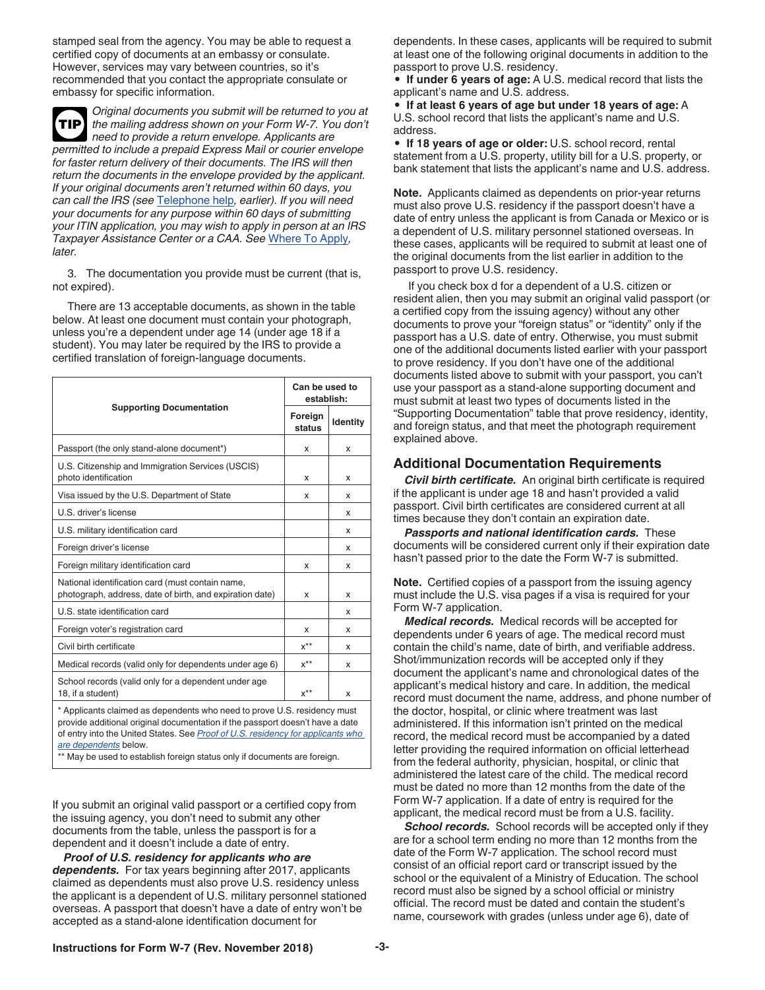<span id="page-2-0"></span>stamped seal from the agency. You may be able to request a certified copy of documents at an embassy or consulate. However, services may vary between countries, so it's recommended that you contact the appropriate consulate or embassy for specific information.

*Original documents you submit will be returned to you at the mailing address shown on your Form W-7. You don't need to provide a return envelope. Applicants are permitted to include a prepaid Express Mail or courier envelope for faster return delivery of their documents. The IRS will then return the documents in the envelope provided by the applicant. If your original documents aren't returned within 60 days, you can call the IRS (see* [Telephone help](#page-1-0)*, earlier). If you will need your documents for any purpose within 60 days of submitting your ITIN application, you may wish to apply in person at an IRS Taxpayer Assistance Center or a CAA. See* [Where To Apply](#page-4-0)*, later.* **TIP**

3. The documentation you provide must be current (that is, not expired).

There are 13 acceptable documents, as shown in the table below. At least one document must contain your photograph, unless you're a dependent under age 14 (under age 18 if a student). You may later be required by the IRS to provide a certified translation of foreign-language documents.

|                                                                                                                                                                                                                                                                      |                   | Can be used to<br>establish: |  |
|----------------------------------------------------------------------------------------------------------------------------------------------------------------------------------------------------------------------------------------------------------------------|-------------------|------------------------------|--|
| <b>Supporting Documentation</b>                                                                                                                                                                                                                                      | Foreign<br>status | Identity                     |  |
| Passport (the only stand-alone document*)                                                                                                                                                                                                                            | x                 | x                            |  |
| U.S. Citizenship and Immigration Services (USCIS)<br>photo identification                                                                                                                                                                                            | x                 | x                            |  |
| Visa issued by the U.S. Department of State                                                                                                                                                                                                                          | x                 | х                            |  |
| U.S. driver's license                                                                                                                                                                                                                                                |                   | x                            |  |
| U.S. military identification card                                                                                                                                                                                                                                    |                   | x                            |  |
| Foreign driver's license                                                                                                                                                                                                                                             |                   | x                            |  |
| Foreign military identification card                                                                                                                                                                                                                                 | x                 | x                            |  |
| National identification card (must contain name,<br>photograph, address, date of birth, and expiration date)                                                                                                                                                         | x                 | x                            |  |
| U.S. state identification card                                                                                                                                                                                                                                       |                   | x                            |  |
| Foreign voter's registration card                                                                                                                                                                                                                                    | x                 | x                            |  |
| Civil birth certificate                                                                                                                                                                                                                                              | $x^{\star\star}$  | x                            |  |
| Medical records (valid only for dependents under age 6)                                                                                                                                                                                                              | $x^{**}$          | x                            |  |
| School records (valid only for a dependent under age<br>18, if a student)                                                                                                                                                                                            | $x^{\star\star}$  | x                            |  |
| * Applicants claimed as dependents who need to prove U.S. residency must<br>provide additional original documentation if the passport doesn't have a date<br>of entry into the United States. See Proof of U.S. residency for applicants who<br>ara danandanta halaw |                   |                              |  |

*are dependents* below.

\*\* May be used to establish foreign status only if documents are foreign.

If you submit an original valid passport or a certified copy from the issuing agency, you don't need to submit any other documents from the table, unless the passport is for a dependent and it doesn't include a date of entry.

*Proof of U.S. residency for applicants who are dependents.* For tax years beginning after 2017, applicants claimed as dependents must also prove U.S. residency unless the applicant is a dependent of U.S. military personnel stationed overseas. A passport that doesn't have a date of entry won't be accepted as a stand-alone identification document for

dependents. In these cases, applicants will be required to submit at least one of the following original documents in addition to the passport to prove U.S. residency.

• **If under 6 years of age:** A U.S. medical record that lists the applicant's name and U.S. address.

• **If at least 6 years of age but under 18 years of age:** A U.S. school record that lists the applicant's name and U.S. address.

• **If 18 years of age or older:** U.S. school record, rental statement from a U.S. property, utility bill for a U.S. property, or bank statement that lists the applicant's name and U.S. address.

**Note.** Applicants claimed as dependents on prior-year returns must also prove U.S. residency if the passport doesn't have a date of entry unless the applicant is from Canada or Mexico or is a dependent of U.S. military personnel stationed overseas. In these cases, applicants will be required to submit at least one of the original documents from the list earlier in addition to the passport to prove U.S. residency.

If you check box d for a dependent of a U.S. citizen or resident alien, then you may submit an original valid passport (or a certified copy from the issuing agency) without any other documents to prove your "foreign status" or "identity" only if the passport has a U.S. date of entry. Otherwise, you must submit one of the additional documents listed earlier with your passport to prove residency. If you don't have one of the additional documents listed above to submit with your passport, you can't use your passport as a stand-alone supporting document and must submit at least two types of documents listed in the "Supporting Documentation" table that prove residency, identity, and foreign status, and that meet the photograph requirement explained above.

#### **Additional Documentation Requirements**

*Civil birth certificate.* An original birth certificate is required if the applicant is under age 18 and hasn't provided a valid passport. Civil birth certificates are considered current at all times because they don't contain an expiration date.

**Passports and national identification cards.** These documents will be considered current only if their expiration date hasn't passed prior to the date the Form W-7 is submitted.

**Note.** Certified copies of a passport from the issuing agency must include the U.S. visa pages if a visa is required for your Form W-7 application.

*Medical records.* Medical records will be accepted for dependents under 6 years of age. The medical record must contain the child's name, date of birth, and verifiable address. Shot/immunization records will be accepted only if they document the applicant's name and chronological dates of the applicant's medical history and care. In addition, the medical record must document the name, address, and phone number of the doctor, hospital, or clinic where treatment was last administered. If this information isn't printed on the medical record, the medical record must be accompanied by a dated letter providing the required information on official letterhead from the federal authority, physician, hospital, or clinic that administered the latest care of the child. The medical record must be dated no more than 12 months from the date of the Form W-7 application. If a date of entry is required for the applicant, the medical record must be from a U.S. facility.

**School records.** School records will be accepted only if they are for a school term ending no more than 12 months from the date of the Form W-7 application. The school record must consist of an official report card or transcript issued by the school or the equivalent of a Ministry of Education. The school record must also be signed by a school official or ministry official. The record must be dated and contain the student's name, coursework with grades (unless under age 6), date of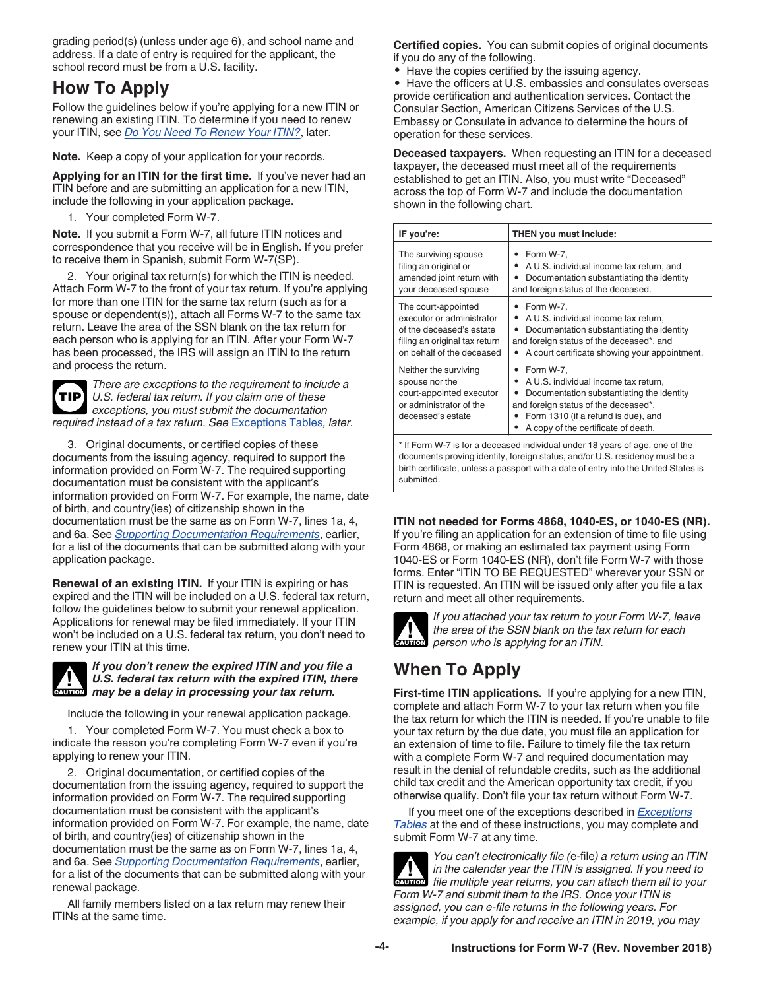<span id="page-3-0"></span>grading period(s) (unless under age 6), and school name and address. If a date of entry is required for the applicant, the school record must be from a U.S. facility.

# **How To Apply**

Follow the guidelines below if you're applying for a new ITIN or renewing an existing ITIN. To determine if you need to renew your ITIN, see *[Do You Need To Renew Your ITIN?](#page-5-0)*, later.

**Note.** Keep a copy of your application for your records.

**Applying for an ITIN for the first time.** If you've never had an ITIN before and are submitting an application for a new ITIN, include the following in your application package.

1. Your completed Form W-7.

**Note.** If you submit a Form W-7, all future ITIN notices and correspondence that you receive will be in English. If you prefer to receive them in Spanish, submit Form W-7(SP).

2. Your original tax return(s) for which the ITIN is needed. Attach Form W-7 to the front of your tax return. If you're applying for more than one ITIN for the same tax return (such as for a spouse or dependent(s)), attach all Forms W-7 to the same tax return. Leave the area of the SSN blank on the tax return for each person who is applying for an ITIN. After your Form W-7 has been processed, the IRS will assign an ITIN to the return and process the return.

*There are exceptions to the requirement to include a U.S. federal tax return. If you claim one of these exceptions, you must submit the documentation required instead of a tax return. See* [Exceptions Tables](#page-10-0)*, later.* **TIP**

3. Original documents, or certified copies of these documents from the issuing agency, required to support the information provided on Form W-7. The required supporting documentation must be consistent with the applicant's information provided on Form W-7. For example, the name, date of birth, and country(ies) of citizenship shown in the documentation must be the same as on Form W-7, lines 1a, 4, and 6a. See *[Supporting Documentation Requirements](#page-1-0)*, earlier, for a list of the documents that can be submitted along with your application package.

**Renewal of an existing ITIN.** If your ITIN is expiring or has expired and the ITIN will be included on a U.S. federal tax return, follow the guidelines below to submit your renewal application. Applications for renewal may be filed immediately. If your ITIN won't be included on a U.S. federal tax return, you don't need to renew your ITIN at this time.



#### *If you don't renew the expired ITIN and you file a U.S. federal tax return with the expired ITIN, there May be a delay in processing your tax return.***<br>
<b>CAUTION** may be a delay in processing your tax return.

Include the following in your renewal application package.

1. Your completed Form W-7. You must check a box to indicate the reason you're completing Form W-7 even if you're applying to renew your ITIN.

2. Original documentation, or certified copies of the documentation from the issuing agency, required to support the information provided on Form W-7. The required supporting documentation must be consistent with the applicant's information provided on Form W-7. For example, the name, date of birth, and country(ies) of citizenship shown in the documentation must be the same as on Form W-7, lines 1a, 4, and 6a. See *[Supporting Documentation Requirements](#page-1-0)*, earlier, for a list of the documents that can be submitted along with your renewal package.

All family members listed on a tax return may renew their ITINs at the same time.

**Certified copies.** You can submit copies of original documents if you do any of the following.

• Have the copies certified by the issuing agency.

• Have the officers at U.S. embassies and consulates overseas provide certification and authentication services. Contact the Consular Section, American Citizens Services of the U.S. Embassy or Consulate in advance to determine the hours of operation for these services.

**Deceased taxpayers.** When requesting an ITIN for a deceased taxpayer, the deceased must meet all of the requirements established to get an ITIN. Also, you must write "Deceased" across the top of Form W-7 and include the documentation shown in the following chart.

| IF you're:                                                                                                                                                                                                                                                                                                                                                                | THEN you must include:                                                                                                                                                                                          |  |
|---------------------------------------------------------------------------------------------------------------------------------------------------------------------------------------------------------------------------------------------------------------------------------------------------------------------------------------------------------------------------|-----------------------------------------------------------------------------------------------------------------------------------------------------------------------------------------------------------------|--|
| The surviving spouse<br>filing an original or<br>amended joint return with<br>your deceased spouse                                                                                                                                                                                                                                                                        | $\bullet$ Form W-7,<br>• A U.S. individual income tax return, and<br>Documentation substantiating the identity<br>٠<br>and foreign status of the deceased.                                                      |  |
| The court-appointed<br>executor or administrator<br>of the deceased's estate<br>filing an original tax return<br>on behalf of the deceased                                                                                                                                                                                                                                | $\bullet$ Form W-7,<br>A U.S. individual income tax return.<br>Documentation substantiating the identity<br>٠<br>and foreign status of the deceased*, and<br>A court certificate showing your appointment.<br>٠ |  |
| $\bullet$ Form W-7,<br>Neither the surviving<br>A U.S. individual income tax return,<br>spouse nor the<br>$\bullet$<br>court-appointed executor<br>Documentation substantiating the identity<br>٠<br>or administrator of the<br>and foreign status of the deceased*,<br>• Form 1310 (if a refund is due), and<br>deceased's estate<br>A copy of the certificate of death. |                                                                                                                                                                                                                 |  |
| * If Form W-7 is for a deceased individual under 18 years of age, one of the                                                                                                                                                                                                                                                                                              |                                                                                                                                                                                                                 |  |

documents proving identity, foreign status, and/or U.S. residency must be a birth certificate, unless a passport with a date of entry into the United States is submitted.

#### **ITIN not needed for Forms 4868, 1040-ES, or 1040-ES (NR).**

If you're filing an application for an extension of time to file using Form 4868, or making an estimated tax payment using Form 1040-ES or Form 1040-ES (NR), don't file Form W-7 with those forms. Enter "ITIN TO BE REQUESTED" wherever your SSN or ITIN is requested. An ITIN will be issued only after you file a tax return and meet all other requirements.



*If you attached your tax return to your Form W-7, leave the area of the SSN blank on the tax return for each*  **h** *person who is applying for an ITIN.* 

# **When To Apply**

**First-time ITIN applications.** If you're applying for a new ITIN, complete and attach Form W-7 to your tax return when you file the tax return for which the ITIN is needed. If you're unable to file your tax return by the due date, you must file an application for an extension of time to file. Failure to timely file the tax return with a complete Form W-7 and required documentation may result in the denial of refundable credits, such as the additional child tax credit and the American opportunity tax credit, if you otherwise qualify. Don't file your tax return without Form W-7.

If you meet one of the exceptions described in *[Exceptions](#page-10-0) [Tables](#page-10-0)* at the end of these instructions, you may complete and submit Form W-7 at any time.

*You can't electronically file (*e-file*) a return using an ITIN in the calendar year the ITIN is assigned. If you need to file multiple year the ITIN is assigned. If you need to extreme file multiple year returns, you can attach them all to your Form W-7 and submit them to the IRS. Once your ITIN is assigned, you can e-file returns in the following years. For example, if you apply for and receive an ITIN in 2019, you may*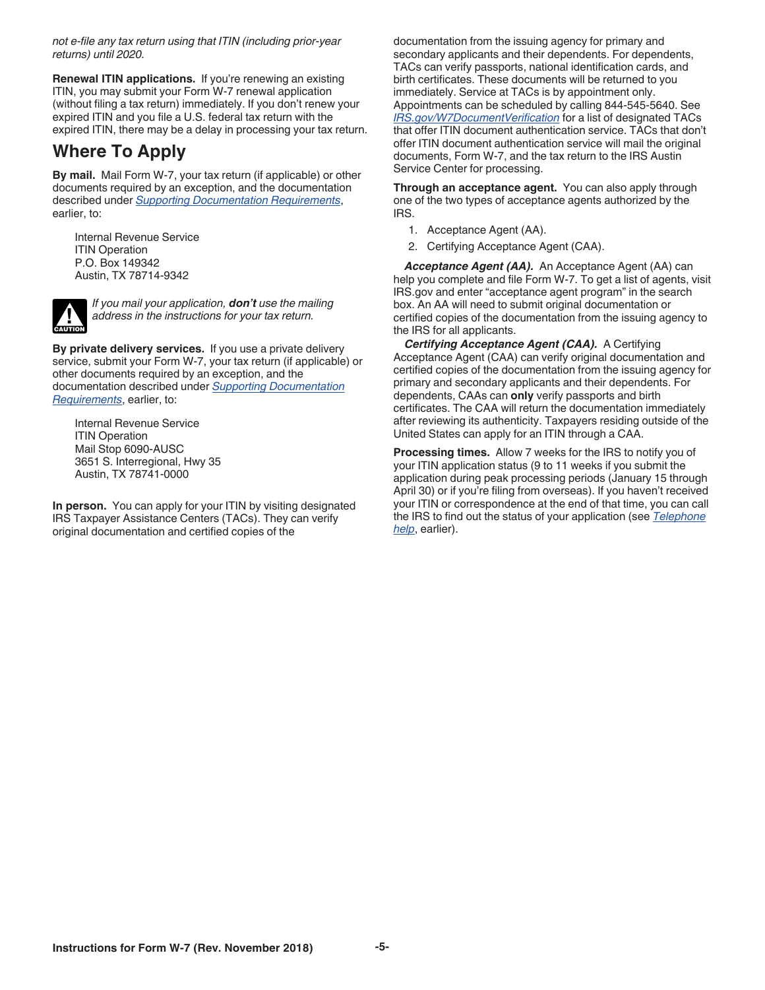<span id="page-4-0"></span>*not e-file any tax return using that ITIN (including prior-year returns) until 2020.*

**Renewal ITIN applications.** If you're renewing an existing ITIN, you may submit your Form W-7 renewal application (without filing a tax return) immediately. If you don't renew your expired ITIN and you file a U.S. federal tax return with the expired ITIN, there may be a delay in processing your tax return.

## **Where To Apply**

**By mail.** Mail Form W-7, your tax return (if applicable) or other documents required by an exception, and the documentation described under *[Supporting Documentation Requirements](#page-1-0)*, earlier, to:

Internal Revenue Service **ITIN Operation** P.O. Box 149342 Austin, TX 78714-9342



*If you mail your application, don't use the mailing address in the instructions for your tax return.*

**By private delivery services.** If you use a private delivery service, submit your Form W-7, your tax return (if applicable) or other documents required by an exception, and the documentation described under *[Supporting Documentation](#page-1-0)  [Requirements](#page-1-0)*, earlier, to:

Internal Revenue Service ITIN Operation Mail Stop 6090-AUSC 3651 S. Interregional, Hwy 35 Austin, TX 78741-0000

**In person.** You can apply for your ITIN by visiting designated IRS Taxpayer Assistance Centers (TACs). They can verify original documentation and certified copies of the

documentation from the issuing agency for primary and secondary applicants and their dependents. For dependents, TACs can verify passports, national identification cards, and birth certificates. These documents will be returned to you immediately. Service at TACs is by appointment only. Appointments can be scheduled by calling 844-545-5640. See *[IRS.gov/W7DocumentVerification](https://www.irs.gov/w7documentverification)* for a list of designated TACs that offer ITIN document authentication service. TACs that don't offer ITIN document authentication service will mail the original documents, Form W-7, and the tax return to the IRS Austin Service Center for processing.

**Through an acceptance agent.** You can also apply through one of the two types of acceptance agents authorized by the IRS.

- 1. Acceptance Agent (AA).
- 2. Certifying Acceptance Agent (CAA).

*Acceptance Agent (AA).* An Acceptance Agent (AA) can help you complete and file Form W-7. To get a list of agents, visit IRS.gov and enter "acceptance agent program" in the search box. An AA will need to submit original documentation or certified copies of the documentation from the issuing agency to the IRS for all applicants.

*Certifying Acceptance Agent (CAA).* A Certifying Acceptance Agent (CAA) can verify original documentation and certified copies of the documentation from the issuing agency for primary and secondary applicants and their dependents. For dependents, CAAs can **only** verify passports and birth certificates. The CAA will return the documentation immediately after reviewing its authenticity. Taxpayers residing outside of the United States can apply for an ITIN through a CAA.

**Processing times.** Allow 7 weeks for the IRS to notify you of your ITIN application status (9 to 11 weeks if you submit the application during peak processing periods (January 15 through April 30) or if you're filing from overseas). If you haven't received your ITIN or correspondence at the end of that time, you can call the IRS to find out the status of your application (see *[Telephone](#page-1-0) [help](#page-1-0)*, earlier).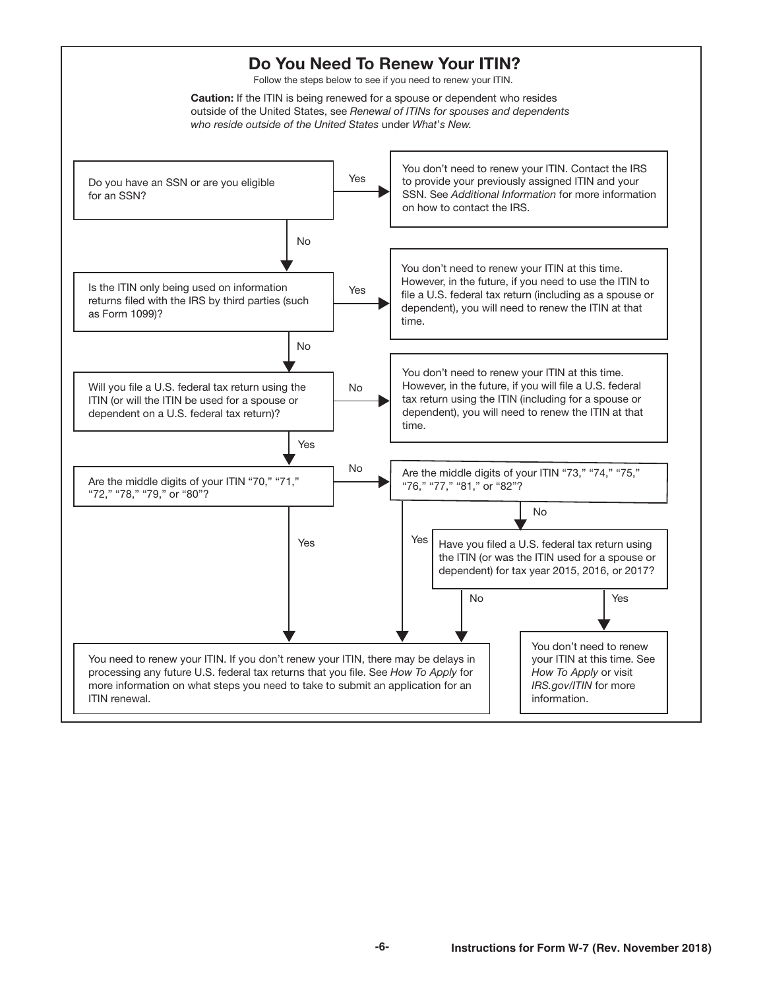<span id="page-5-0"></span>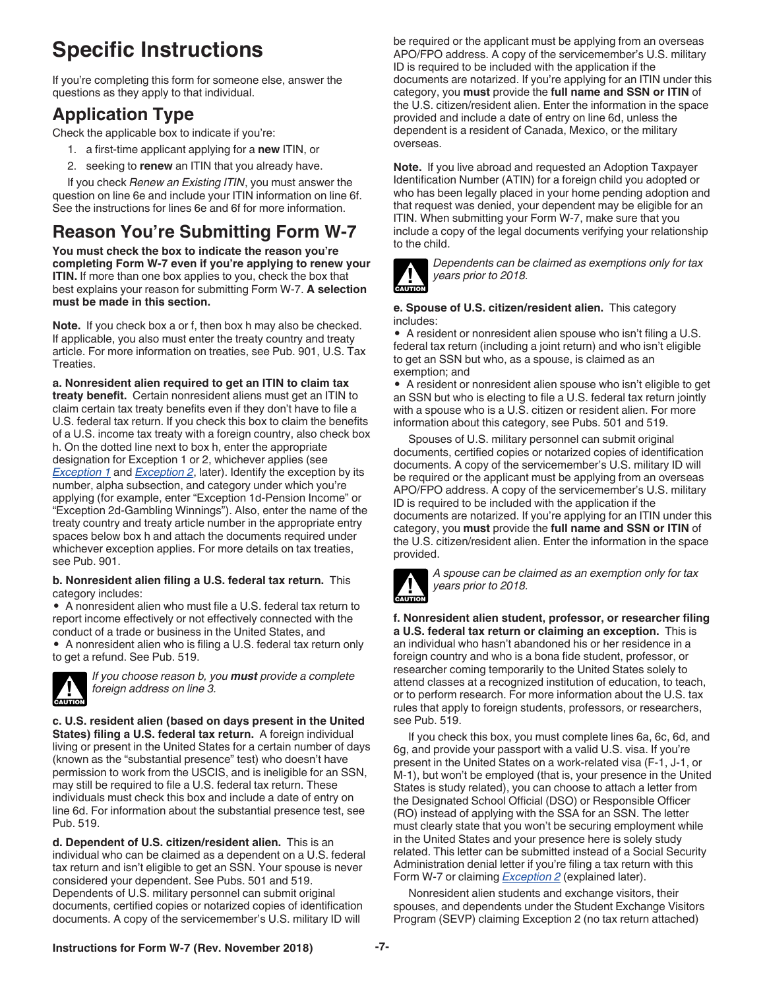# <span id="page-6-0"></span>**Specific Instructions**

If you're completing this form for someone else, answer the questions as they apply to that individual.

# **Application Type**

Check the applicable box to indicate if you're:

- 1. a first-time applicant applying for a **new** ITIN, or
- 2. seeking to **renew** an ITIN that you already have.

If you check *Renew an Existing ITIN*, you must answer the question on line 6e and include your ITIN information on line 6f. See the instructions for lines 6e and 6f for more information.

# **Reason You're Submitting Form W-7**

**You must check the box to indicate the reason you're completing Form W-7 even if you're applying to renew your ITIN.** If more than one box applies to you, check the box that best explains your reason for submitting Form W-7. **A selection must be made in this section.**

**Note.** If you check box a or f, then box h may also be checked. If applicable, you also must enter the treaty country and treaty article. For more information on treaties, see Pub. 901, U.S. Tax Treaties.

**a. Nonresident alien required to get an ITIN to claim tax treaty benefit.** Certain nonresident aliens must get an ITIN to claim certain tax treaty benefits even if they don't have to file a U.S. federal tax return. If you check this box to claim the benefits of a U.S. income tax treaty with a foreign country, also check box h. On the dotted line next to box h, enter the appropriate designation for Exception 1 or 2, whichever applies (see *[Exception 1](#page-7-0)* and *[Exception 2](#page-7-0)*, later). Identify the exception by its number, alpha subsection, and category under which you're applying (for example, enter "Exception 1d-Pension Income" or "Exception 2d-Gambling Winnings"). Also, enter the name of the treaty country and treaty article number in the appropriate entry spaces below box h and attach the documents required under whichever exception applies. For more details on tax treaties, see Pub. 901.

#### **b. Nonresident alien filing a U.S. federal tax return.** This category includes:

• A nonresident alien who must file a U.S. federal tax return to report income effectively or not effectively connected with the conduct of a trade or business in the United States, and

• A nonresident alien who is filing a U.S. federal tax return only to get a refund. See Pub. 519.



*If you choose reason b, you must provide a complete foreign address on line 3.*

**c. U.S. resident alien (based on days present in the United States) filing a U.S. federal tax return.** A foreign individual living or present in the United States for a certain number of days (known as the "substantial presence" test) who doesn't have permission to work from the USCIS, and is ineligible for an SSN, may still be required to file a U.S. federal tax return. These individuals must check this box and include a date of entry on line 6d. For information about the substantial presence test, see Pub. 519.

**d. Dependent of U.S. citizen/resident alien.** This is an individual who can be claimed as a dependent on a U.S. federal tax return and isn't eligible to get an SSN. Your spouse is never considered your dependent. See Pubs. 501 and 519. Dependents of U.S. military personnel can submit original documents, certified copies or notarized copies of identification documents. A copy of the servicemember's U.S. military ID will

be required or the applicant must be applying from an overseas APO/FPO address. A copy of the servicemember's U.S. military ID is required to be included with the application if the documents are notarized. If you're applying for an ITIN under this category, you **must** provide the **full name and SSN or ITIN** of the U.S. citizen/resident alien. Enter the information in the space provided and include a date of entry on line 6d, unless the dependent is a resident of Canada, Mexico, or the military overseas.

**Note.** If you live abroad and requested an Adoption Taxpayer Identification Number (ATIN) for a foreign child you adopted or who has been legally placed in your home pending adoption and that request was denied, your dependent may be eligible for an ITIN. When submitting your Form W-7, make sure that you include a copy of the legal documents verifying your relationship to the child.



*Dependents can be claimed as exemptions only for tax years prior to 2018.*

#### **e. Spouse of U.S. citizen/resident alien.** This category includes:

• A resident or nonresident alien spouse who isn't filing a U.S. federal tax return (including a joint return) and who isn't eligible to get an SSN but who, as a spouse, is claimed as an exemption; and

• A resident or nonresident alien spouse who isn't eligible to get an SSN but who is electing to file a U.S. federal tax return jointly with a spouse who is a U.S. citizen or resident alien. For more information about this category, see Pubs. 501 and 519.

Spouses of U.S. military personnel can submit original documents, certified copies or notarized copies of identification documents. A copy of the servicemember's U.S. military ID will be required or the applicant must be applying from an overseas APO/FPO address. A copy of the servicemember's U.S. military ID is required to be included with the application if the documents are notarized. If you're applying for an ITIN under this category, you **must** provide the **full name and SSN or ITIN** of the U.S. citizen/resident alien. Enter the information in the space provided.



*A spouse can be claimed as an exemption only for tax years prior to 2018.*

**f. Nonresident alien student, professor, or researcher filing a U.S. federal tax return or claiming an exception.** This is an individual who hasn't abandoned his or her residence in a foreign country and who is a bona fide student, professor, or researcher coming temporarily to the United States solely to attend classes at a recognized institution of education, to teach, or to perform research. For more information about the U.S. tax rules that apply to foreign students, professors, or researchers, see Pub. 519.

If you check this box, you must complete lines 6a, 6c, 6d, and 6g, and provide your passport with a valid U.S. visa. If you're present in the United States on a work-related visa (F-1, J-1, or M-1), but won't be employed (that is, your presence in the United States is study related), you can choose to attach a letter from the Designated School Official (DSO) or Responsible Officer (RO) instead of applying with the SSA for an SSN. The letter must clearly state that you won't be securing employment while in the United States and your presence here is solely study related. This letter can be submitted instead of a Social Security Administration denial letter if you're filing a tax return with this Form W-7 or claiming *[Exception 2](#page-7-0)* (explained later).

Nonresident alien students and exchange visitors, their spouses, and dependents under the Student Exchange Visitors Program (SEVP) claiming Exception 2 (no tax return attached)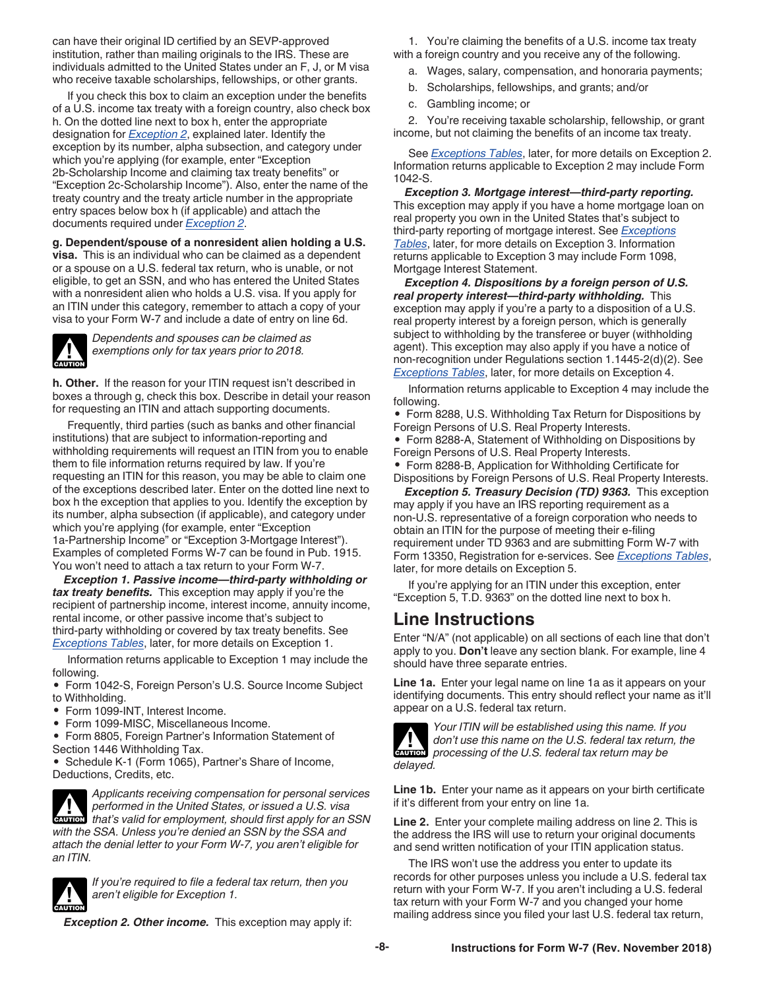<span id="page-7-0"></span>can have their original ID certified by an SEVP-approved institution, rather than mailing originals to the IRS. These are individuals admitted to the United States under an F, J, or M visa who receive taxable scholarships, fellowships, or other grants.

If you check this box to claim an exception under the benefits of a U.S. income tax treaty with a foreign country, also check box h. On the dotted line next to box h, enter the appropriate designation for *Exception 2*, explained later. Identify the exception by its number, alpha subsection, and category under which you're applying (for example, enter "Exception 2b-Scholarship Income and claiming tax treaty benefits" or "Exception 2c-Scholarship Income"). Also, enter the name of the treaty country and the treaty article number in the appropriate entry spaces below box h (if applicable) and attach the documents required under *Exception 2*.

#### **g. Dependent/spouse of a nonresident alien holding a U.S.**

**visa.** This is an individual who can be claimed as a dependent or a spouse on a U.S. federal tax return, who is unable, or not eligible, to get an SSN, and who has entered the United States with a nonresident alien who holds a U.S. visa. If you apply for an ITIN under this category, remember to attach a copy of your visa to your Form W-7 and include a date of entry on line 6d.

**CAUTION !**

*Dependents and spouses can be claimed as exemptions only for tax years prior to 2018.*

**h. Other.** If the reason for your ITIN request isn't described in boxes a through g, check this box. Describe in detail your reason for requesting an ITIN and attach supporting documents.

Frequently, third parties (such as banks and other financial institutions) that are subject to information-reporting and withholding requirements will request an ITIN from you to enable them to file information returns required by law. If you're requesting an ITIN for this reason, you may be able to claim one of the exceptions described later. Enter on the dotted line next to box h the exception that applies to you. Identify the exception by its number, alpha subsection (if applicable), and category under which you're applying (for example, enter "Exception 1a-Partnership Income" or "Exception 3-Mortgage Interest"). Examples of completed Forms W-7 can be found in Pub. 1915. You won't need to attach a tax return to your Form W-7.

*Exception 1. Passive income—third-party withholding or tax treaty benefits.* This exception may apply if you're the recipient of partnership income, interest income, annuity income, rental income, or other passive income that's subject to third-party withholding or covered by tax treaty benefits. See *[Exceptions Tables](#page-10-0)*, later, for more details on Exception 1.

Information returns applicable to Exception 1 may include the following.

• Form 1042-S, Foreign Person's U.S. Source Income Subject to Withholding.

- Form 1099-INT, Interest Income.
- Form 1099-MISC, Miscellaneous Income.

• Form 8805, Foreign Partner's Information Statement of Section 1446 Withholding Tax.

• Schedule K-1 (Form 1065), Partner's Share of Income, Deductions, Credits, etc.

*Applicants receiving compensation for personal services performed in the United States, or issued a U.S. visa*  **z** *that's valid for employment, should first apply for an SSN caution with the SSA. Unless you're denied an SSN by the SSA and attach the denial letter to your Form W-7, you aren't eligible for an ITIN.*



*If you're required to file a federal tax return, then you aren't eligible for Exception 1.*

*Exception 2. Other income.* This exception may apply if:

1. You're claiming the benefits of a U.S. income tax treaty with a foreign country and you receive any of the following.

a. Wages, salary, compensation, and honoraria payments;

- b. Scholarships, fellowships, and grants; and/or
- c. Gambling income; or

2. You're receiving taxable scholarship, fellowship, or grant income, but not claiming the benefits of an income tax treaty.

See *[Exceptions Tables](#page-10-0)*, later, for more details on Exception 2. Information returns applicable to Exception 2 may include Form 1042-S.

*Exception 3. Mortgage interest—third-party reporting.*  This exception may apply if you have a home mortgage loan on real property you own in the United States that's subject to third-party reporting of mortgage interest. See *[Exceptions](#page-10-0) [Tables](#page-10-0)*, later, for more details on Exception 3. Information returns applicable to Exception 3 may include Form 1098, Mortgage Interest Statement.

*Exception 4. Dispositions by a foreign person of U.S. real property interest—third-party withholding.* This exception may apply if you're a party to a disposition of a U.S. real property interest by a foreign person, which is generally subject to withholding by the transferee or buyer (withholding agent). This exception may also apply if you have a notice of non-recognition under Regulations section 1.1445-2(d)(2). See *[Exceptions Tables](#page-10-0)*, later, for more details on Exception 4.

Information returns applicable to Exception 4 may include the following.

• Form 8288, U.S. Withholding Tax Return for Dispositions by Foreign Persons of U.S. Real Property Interests.

• Form 8288-A, Statement of Withholding on Dispositions by Foreign Persons of U.S. Real Property Interests.

• Form 8288-B, Application for Withholding Certificate for Dispositions by Foreign Persons of U.S. Real Property Interests.

*Exception 5. Treasury Decision (TD) 9363.* This exception may apply if you have an IRS reporting requirement as a non-U.S. representative of a foreign corporation who needs to obtain an ITIN for the purpose of meeting their e-filing requirement under TD 9363 and are submitting Form W-7 with Form 13350, Registration for e-services. See *[Exceptions Tables](#page-10-0)*, later, for more details on Exception 5.

If you're applying for an ITIN under this exception, enter "Exception 5, T.D. 9363" on the dotted line next to box h.

### **Line Instructions**

Enter "N/A" (not applicable) on all sections of each line that don't apply to you. **Don't** leave any section blank. For example, line 4 should have three separate entries.

**Line 1a.** Enter your legal name on line 1a as it appears on your identifying documents. This entry should reflect your name as it'll appear on a U.S. federal tax return.



*Your ITIN will be established using this name. If you don't use this name on the U.S. federal tax return, the processing of the U.S. federal tax return may be* 

**Line 1b.** Enter your name as it appears on your birth certificate if it's different from your entry on line 1a.

**Line 2.** Enter your complete mailing address on line 2. This is the address the IRS will use to return your original documents and send written notification of your ITIN application status.

The IRS won't use the address you enter to update its records for other purposes unless you include a U.S. federal tax return with your Form W-7. If you aren't including a U.S. federal tax return with your Form W-7 and you changed your home mailing address since you filed your last U.S. federal tax return,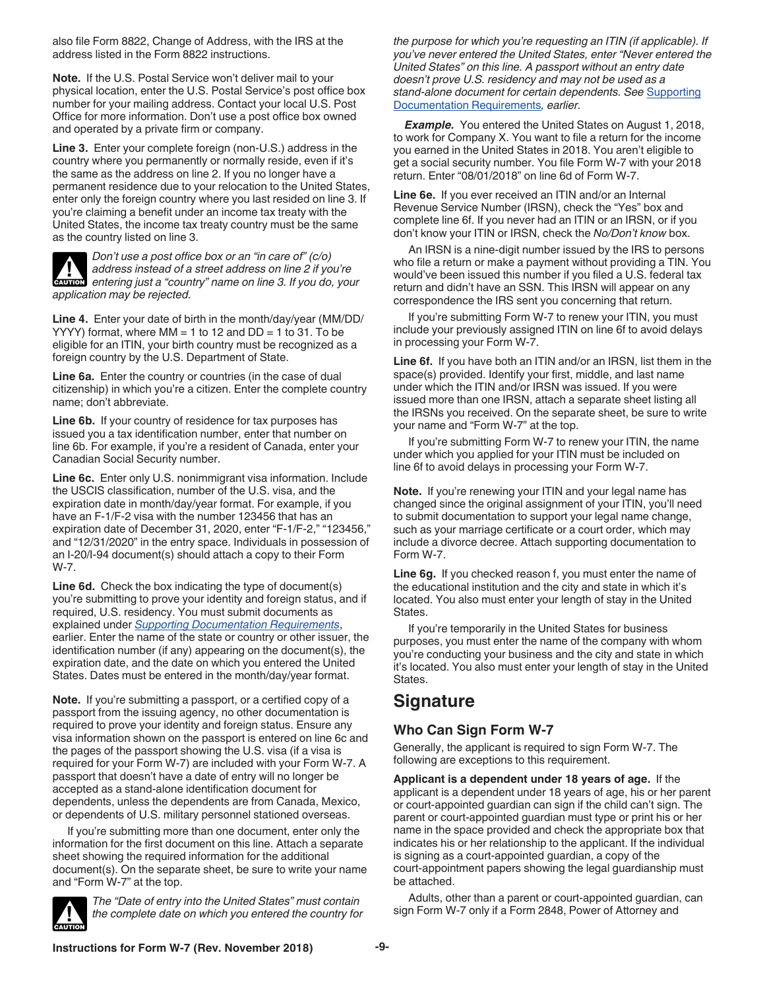<span id="page-8-0"></span>also file Form 8822, Change of Address, with the IRS at the address listed in the Form 8822 instructions.

**Note.** If the U.S. Postal Service won't deliver mail to your physical location, enter the U.S. Postal Service's post office box number for your mailing address. Contact your local U.S. Post Office for more information. Don't use a post office box owned and operated by a private firm or company.

**Line 3.** Enter your complete foreign (non-U.S.) address in the country where you permanently or normally reside, even if it's the same as the address on line 2. If you no longer have a permanent residence due to your relocation to the United States, enter only the foreign country where you last resided on line 3. If you're claiming a benefit under an income tax treaty with the United States, the income tax treaty country must be the same as the country listed on line 3.



*Don't use a post office box or an "in care of" (c/o) address instead of a street address on line 2 if you're entering just a "country" name on line 3. If you do, your application may be rejected.*

**Line 4.** Enter your date of birth in the month/day/year (MM/DD/ YYYY) format, where  $MM = 1$  to 12 and  $DD = 1$  to 31. To be eligible for an ITIN, your birth country must be recognized as a foreign country by the U.S. Department of State.

**Line 6a.** Enter the country or countries (in the case of dual citizenship) in which you're a citizen. Enter the complete country name; don't abbreviate.

**Line 6b.** If your country of residence for tax purposes has issued you a tax identification number, enter that number on line 6b. For example, if you're a resident of Canada, enter your Canadian Social Security number.

**Line 6c.** Enter only U.S. nonimmigrant visa information. Include the USCIS classification, number of the U.S. visa, and the expiration date in month/day/year format. For example, if you have an F-1/F-2 visa with the number 123456 that has an expiration date of December 31, 2020, enter "F-1/F-2," "123456," and "12/31/2020" in the entry space. Individuals in possession of an I-20/I-94 document(s) should attach a copy to their Form W-7.

**Line 6d.** Check the box indicating the type of document(s) you're submitting to prove your identity and foreign status, and if required, U.S. residency. You must submit documents as explained under *[Supporting Documentation Requirements](#page-1-0)*, earlier. Enter the name of the state or country or other issuer, the identification number (if any) appearing on the document(s), the expiration date, and the date on which you entered the United States. Dates must be entered in the month/day/year format.

**Note.** If you're submitting a passport, or a certified copy of a passport from the issuing agency, no other documentation is required to prove your identity and foreign status. Ensure any visa information shown on the passport is entered on line 6c and the pages of the passport showing the U.S. visa (if a visa is required for your Form W-7) are included with your Form W-7. A passport that doesn't have a date of entry will no longer be accepted as a stand-alone identification document for dependents, unless the dependents are from Canada, Mexico, or dependents of U.S. military personnel stationed overseas.

If you're submitting more than one document, enter only the information for the first document on this line. Attach a separate sheet showing the required information for the additional document(s). On the separate sheet, be sure to write your name and "Form W-7" at the top.



*The "Date of entry into the United States" must contain the complete date on which you entered the country for*  *the purpose for which you're requesting an ITIN (if applicable). If you've never entered the United States, enter "Never entered the United States" on this line. A passport without an entry date doesn't prove U.S. residency and may not be used as a stand-alone document for certain dependents. See* [Supporting](#page-1-0) [Documentation Requirements](#page-1-0)*, earlier.*

**Example.** You entered the United States on August 1, 2018, to work for Company X. You want to file a return for the income you earned in the United States in 2018. You aren't eligible to get a social security number. You file Form W-7 with your 2018 return. Enter "08/01/2018" on line 6d of Form W-7.

**Line 6e.** If you ever received an ITIN and/or an Internal Revenue Service Number (IRSN), check the "Yes" box and complete line 6f. If you never had an ITIN or an IRSN, or if you don't know your ITIN or IRSN, check the *No/Don't know* box.

An IRSN is a nine-digit number issued by the IRS to persons who file a return or make a payment without providing a TIN. You would've been issued this number if you filed a U.S. federal tax return and didn't have an SSN. This IRSN will appear on any correspondence the IRS sent you concerning that return.

If you're submitting Form W-7 to renew your ITIN, you must include your previously assigned ITIN on line 6f to avoid delays in processing your Form W-7.

**Line 6f.** If you have both an ITIN and/or an IRSN, list them in the space(s) provided. Identify your first, middle, and last name under which the ITIN and/or IRSN was issued. If you were issued more than one IRSN, attach a separate sheet listing all the IRSNs you received. On the separate sheet, be sure to write your name and "Form W-7" at the top.

If you're submitting Form W-7 to renew your ITIN, the name under which you applied for your ITIN must be included on line 6f to avoid delays in processing your Form W-7.

**Note.** If you're renewing your ITIN and your legal name has changed since the original assignment of your ITIN, you'll need to submit documentation to support your legal name change, such as your marriage certificate or a court order, which may include a divorce decree. Attach supporting documentation to Form W-7.

Line 6q. If you checked reason f, you must enter the name of the educational institution and the city and state in which it's located. You also must enter your length of stay in the United States.

If you're temporarily in the United States for business purposes, you must enter the name of the company with whom you're conducting your business and the city and state in which it's located. You also must enter your length of stay in the United States.

### **Signature**

### **Who Can Sign Form W-7**

Generally, the applicant is required to sign Form W-7. The following are exceptions to this requirement.

**Applicant is a dependent under 18 years of age.** If the applicant is a dependent under 18 years of age, his or her parent or court-appointed guardian can sign if the child can't sign. The parent or court-appointed guardian must type or print his or her name in the space provided and check the appropriate box that indicates his or her relationship to the applicant. If the individual is signing as a court-appointed guardian, a copy of the court-appointment papers showing the legal guardianship must be attached.

Adults, other than a parent or court-appointed guardian, can sign Form W-7 only if a Form 2848, Power of Attorney and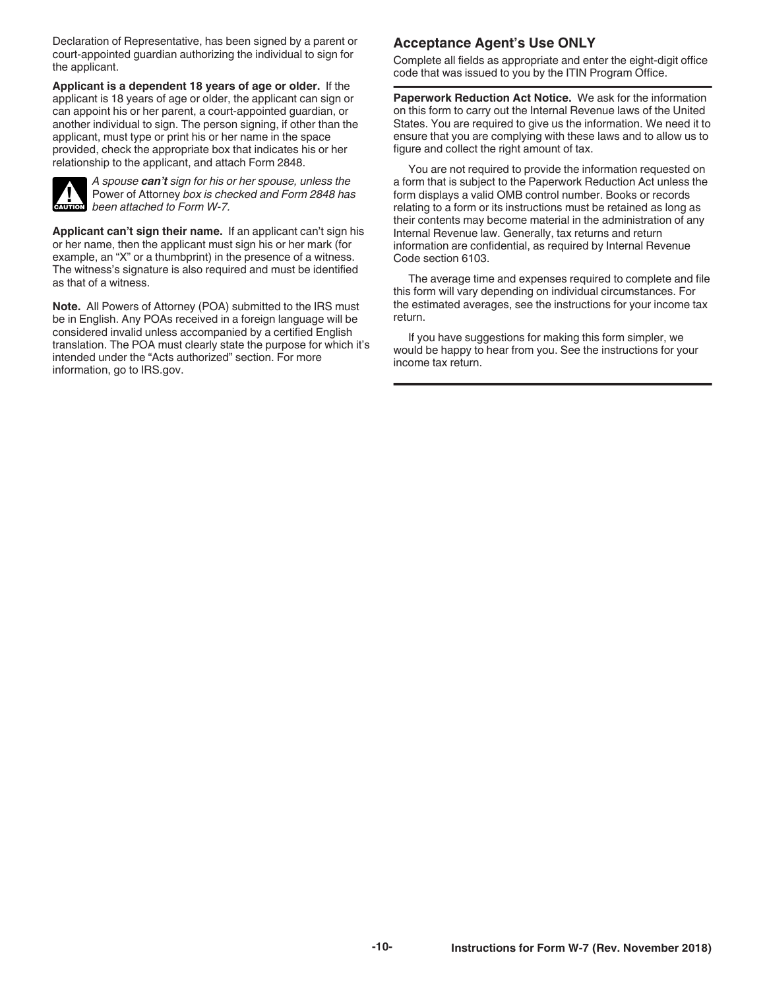Declaration of Representative, has been signed by a parent or court-appointed guardian authorizing the individual to sign for the applicant.

**Applicant is a dependent 18 years of age or older.** If the applicant is 18 years of age or older, the applicant can sign or can appoint his or her parent, a court-appointed guardian, or another individual to sign. The person signing, if other than the applicant, must type or print his or her name in the space provided, check the appropriate box that indicates his or her relationship to the applicant, and attach Form 2848.



*A spouse can't sign for his or her spouse, unless the*  Power of Attorney *box is checked and Form 2848 has*  **Power of Attorney box is che**<br> **CAUTION** been attached to Form W-7.

**Applicant can't sign their name.** If an applicant can't sign his or her name, then the applicant must sign his or her mark (for example, an "X" or a thumbprint) in the presence of a witness. The witness's signature is also required and must be identified as that of a witness.

**Note.** All Powers of Attorney (POA) submitted to the IRS must be in English. Any POAs received in a foreign language will be considered invalid unless accompanied by a certified English translation. The POA must clearly state the purpose for which it's intended under the "Acts authorized" section. For more information, go to IRS.gov.

#### **Acceptance Agent's Use ONLY**

Complete all fields as appropriate and enter the eight-digit office code that was issued to you by the ITIN Program Office.

**Paperwork Reduction Act Notice.** We ask for the information on this form to carry out the Internal Revenue laws of the United States. You are required to give us the information. We need it to ensure that you are complying with these laws and to allow us to figure and collect the right amount of tax.

You are not required to provide the information requested on a form that is subject to the Paperwork Reduction Act unless the form displays a valid OMB control number. Books or records relating to a form or its instructions must be retained as long as their contents may become material in the administration of any Internal Revenue law. Generally, tax returns and return information are confidential, as required by Internal Revenue Code section 6103.

The average time and expenses required to complete and file this form will vary depending on individual circumstances. For the estimated averages, see the instructions for your income tax return.

If you have suggestions for making this form simpler, we would be happy to hear from you. See the instructions for your income tax return.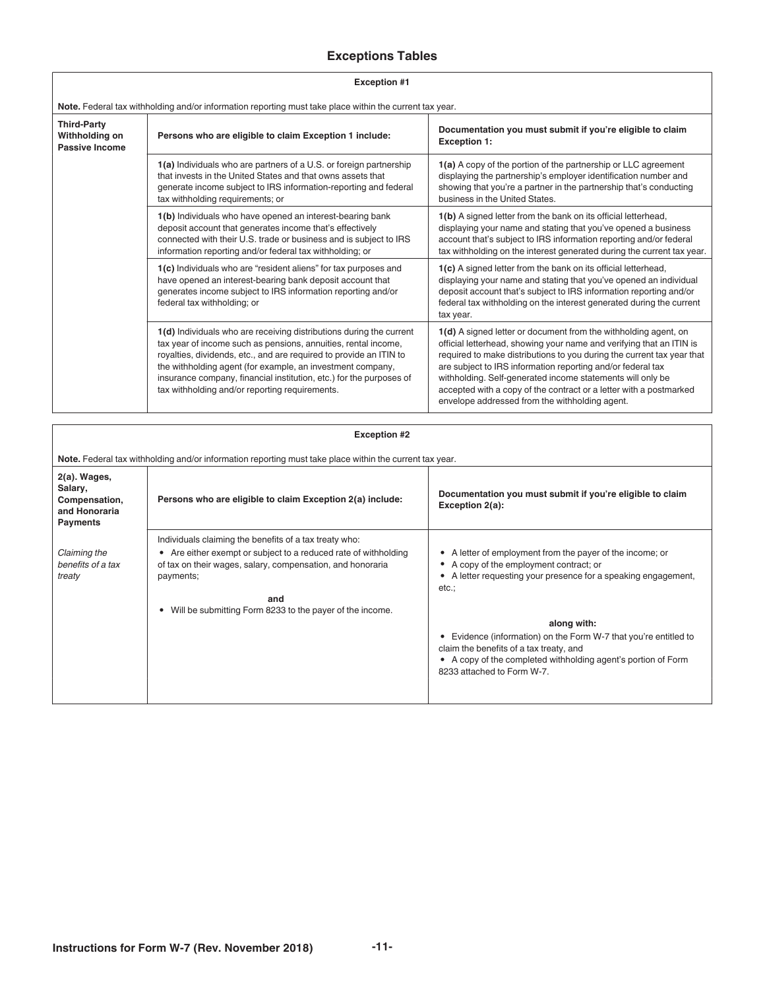#### **Exceptions Tables**

| <b>Exception #1</b> |  |
|---------------------|--|

<span id="page-10-0"></span>ſ

| Note. Federal tax withholding and/or information reporting must take place within the current tax year. |                                                                                                                                                                                                                                                                                                                                                                                                    |                                                                                                                                                                                                                                                                                                                                                                                                                                                                        |  |  |
|---------------------------------------------------------------------------------------------------------|----------------------------------------------------------------------------------------------------------------------------------------------------------------------------------------------------------------------------------------------------------------------------------------------------------------------------------------------------------------------------------------------------|------------------------------------------------------------------------------------------------------------------------------------------------------------------------------------------------------------------------------------------------------------------------------------------------------------------------------------------------------------------------------------------------------------------------------------------------------------------------|--|--|
| <b>Third-Party</b><br>Withholding on<br><b>Passive Income</b>                                           | Persons who are eligible to claim Exception 1 include:                                                                                                                                                                                                                                                                                                                                             | Documentation you must submit if you're eligible to claim<br><b>Exception 1:</b>                                                                                                                                                                                                                                                                                                                                                                                       |  |  |
|                                                                                                         | 1(a) Individuals who are partners of a U.S. or foreign partnership<br>that invests in the United States and that owns assets that<br>generate income subject to IRS information-reporting and federal<br>tax withholding requirements; or                                                                                                                                                          | 1(a) A copy of the portion of the partnership or LLC agreement<br>displaying the partnership's employer identification number and<br>showing that you're a partner in the partnership that's conducting<br>business in the United States.                                                                                                                                                                                                                              |  |  |
|                                                                                                         | 1(b) Individuals who have opened an interest-bearing bank<br>deposit account that generates income that's effectively<br>connected with their U.S. trade or business and is subject to IRS<br>information reporting and/or federal tax withholding; or                                                                                                                                             | 1(b) A signed letter from the bank on its official letterhead,<br>displaying your name and stating that you've opened a business<br>account that's subject to IRS information reporting and/or federal<br>tax withholding on the interest generated during the current tax year.                                                                                                                                                                                       |  |  |
|                                                                                                         | 1(c) Individuals who are "resident aliens" for tax purposes and<br>have opened an interest-bearing bank deposit account that<br>generates income subject to IRS information reporting and/or<br>federal tax withholding; or                                                                                                                                                                        | 1(c) A signed letter from the bank on its official letterhead,<br>displaying your name and stating that you've opened an individual<br>deposit account that's subject to IRS information reporting and/or<br>federal tax withholding on the interest generated during the current<br>tax year.                                                                                                                                                                         |  |  |
|                                                                                                         | 1(d) Individuals who are receiving distributions during the current<br>tax year of income such as pensions, annuities, rental income,<br>royalties, dividends, etc., and are required to provide an ITIN to<br>the withholding agent (for example, an investment company,<br>insurance company, financial institution, etc.) for the purposes of<br>tax withholding and/or reporting requirements. | 1(d) A signed letter or document from the withholding agent, on<br>official letterhead, showing your name and verifying that an ITIN is<br>required to make distributions to you during the current tax year that<br>are subject to IRS information reporting and/or federal tax<br>withholding. Self-generated income statements will only be<br>accepted with a copy of the contract or a letter with a postmarked<br>envelope addressed from the withholding agent. |  |  |

| <b>Exception #2</b>                                                          |                                                                                                                                                                                                                                                                                      |                                                                                                                                                                                                                                                                                                                                                                                                      |  |
|------------------------------------------------------------------------------|--------------------------------------------------------------------------------------------------------------------------------------------------------------------------------------------------------------------------------------------------------------------------------------|------------------------------------------------------------------------------------------------------------------------------------------------------------------------------------------------------------------------------------------------------------------------------------------------------------------------------------------------------------------------------------------------------|--|
|                                                                              | Note. Federal tax withholding and/or information reporting must take place within the current tax year.                                                                                                                                                                              |                                                                                                                                                                                                                                                                                                                                                                                                      |  |
| 2(a). Wages,<br>Salary,<br>Compensation,<br>and Honoraria<br><b>Payments</b> | Persons who are eligible to claim Exception 2(a) include:                                                                                                                                                                                                                            | Documentation you must submit if you're eligible to claim<br>Exception 2(a):                                                                                                                                                                                                                                                                                                                         |  |
| Claiming the<br>benefits of a tax<br>treaty                                  | Individuals claiming the benefits of a tax treaty who:<br>• Are either exempt or subject to a reduced rate of withholding<br>of tax on their wages, salary, compensation, and honoraria<br>payments;<br>and<br>Will be submitting Form 8233 to the payer of the income.<br>$\bullet$ | A letter of employment from the payer of the income; or<br>A copy of the employment contract; or<br>A letter requesting your presence for a speaking engagement,<br>etc.;<br>along with:<br>Evidence (information) on the Form W-7 that you're entitled to<br>claim the benefits of a tax treaty, and<br>• A copy of the completed withholding agent's portion of Form<br>8233 attached to Form W-7. |  |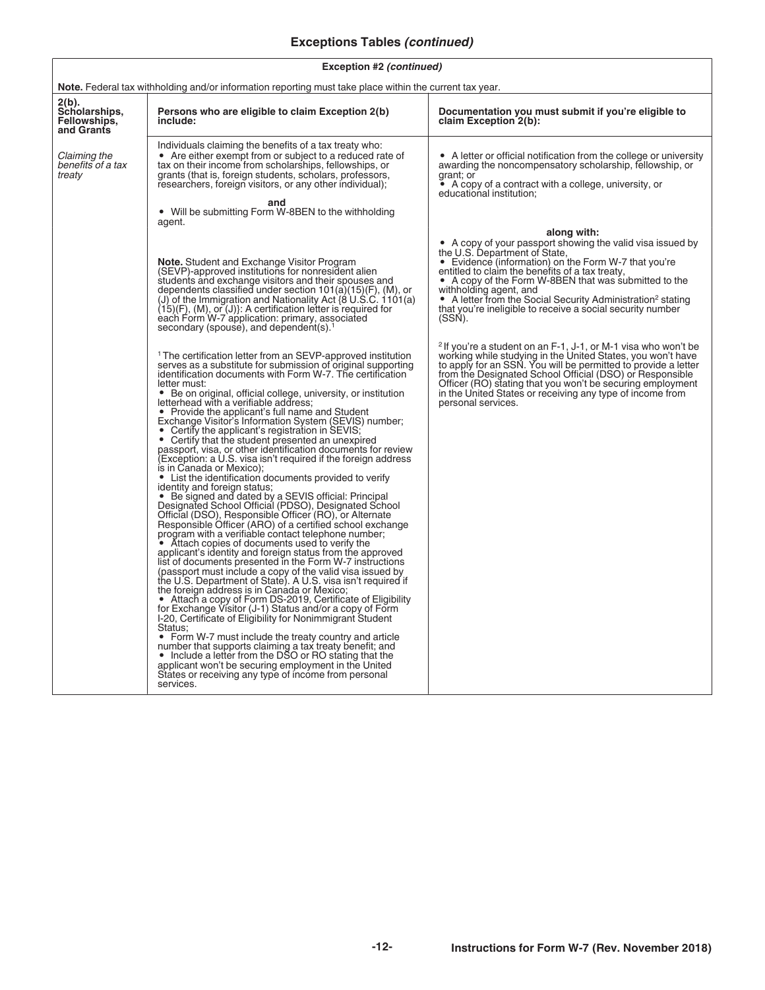#### **Exceptions Tables** *(continued)*

| <b>Note.</b> Federal tax withholding and/or information reporting must take place within the current tax year. |                                                                                                                                                                                                                                                                                                                                                                                                                                                                                                                                                                                                                                                                                                                                                                                                                                                                                                                                                                                                                                                                                                                                                                                                                                                                                                                                                                                                                                                                                                                                                                                                                                                                                                                                                                                                                                                                                                                                                                                |                                                                                                                                                                                                                                                                                                                                                                                                                                                             |  |
|----------------------------------------------------------------------------------------------------------------|--------------------------------------------------------------------------------------------------------------------------------------------------------------------------------------------------------------------------------------------------------------------------------------------------------------------------------------------------------------------------------------------------------------------------------------------------------------------------------------------------------------------------------------------------------------------------------------------------------------------------------------------------------------------------------------------------------------------------------------------------------------------------------------------------------------------------------------------------------------------------------------------------------------------------------------------------------------------------------------------------------------------------------------------------------------------------------------------------------------------------------------------------------------------------------------------------------------------------------------------------------------------------------------------------------------------------------------------------------------------------------------------------------------------------------------------------------------------------------------------------------------------------------------------------------------------------------------------------------------------------------------------------------------------------------------------------------------------------------------------------------------------------------------------------------------------------------------------------------------------------------------------------------------------------------------------------------------------------------|-------------------------------------------------------------------------------------------------------------------------------------------------------------------------------------------------------------------------------------------------------------------------------------------------------------------------------------------------------------------------------------------------------------------------------------------------------------|--|
| 2(b).<br>Scholarships,<br>Fellowships,<br>and Grants                                                           | Persons who are eligible to claim Exception 2(b)<br>include:                                                                                                                                                                                                                                                                                                                                                                                                                                                                                                                                                                                                                                                                                                                                                                                                                                                                                                                                                                                                                                                                                                                                                                                                                                                                                                                                                                                                                                                                                                                                                                                                                                                                                                                                                                                                                                                                                                                   | Documentation you must submit if you're eligible to<br>claim Exception 2(b):                                                                                                                                                                                                                                                                                                                                                                                |  |
| Claiming the<br>benefits of a tax<br>treaty                                                                    | Individuals claiming the benefits of a tax treaty who:<br>• Are either exempt from or subject to a reduced rate of<br>tax on their income from scholarships, fellowships, or<br>grants (that is, foreign students, scholars, professors,<br>researchers, foreign visitors, or any other individual);<br>and                                                                                                                                                                                                                                                                                                                                                                                                                                                                                                                                                                                                                                                                                                                                                                                                                                                                                                                                                                                                                                                                                                                                                                                                                                                                                                                                                                                                                                                                                                                                                                                                                                                                    | • A letter or official notification from the college or university<br>awarding the noncompensatory scholarship, fellowship, or<br>grant; or<br>$\bullet$ A copy of a contract with a college, university, or<br>educational institution;                                                                                                                                                                                                                    |  |
|                                                                                                                | • Will be submitting Form W-8BEN to the withholding<br>agent.                                                                                                                                                                                                                                                                                                                                                                                                                                                                                                                                                                                                                                                                                                                                                                                                                                                                                                                                                                                                                                                                                                                                                                                                                                                                                                                                                                                                                                                                                                                                                                                                                                                                                                                                                                                                                                                                                                                  |                                                                                                                                                                                                                                                                                                                                                                                                                                                             |  |
|                                                                                                                | <b>Note.</b> Student and Exchange Visitor Program<br>(SEVP)-approved institutions for nonresident alien<br>students and exchange visitors and their spouses and<br>dependents classified under section 101(a)(15)(F), (M), or<br>(J) of the Immigration and Nationality Act (8 U.S.C. 1101(a)<br>$(15)(F)$ , $(M)$ , or $(J)$ : A certification letter is required for<br>each Form W-7 application: primary, associated<br>secondary (spouse), and dependent(s). <sup>1</sup>                                                                                                                                                                                                                                                                                                                                                                                                                                                                                                                                                                                                                                                                                                                                                                                                                                                                                                                                                                                                                                                                                                                                                                                                                                                                                                                                                                                                                                                                                                 | along with:<br>• A copy of your passport showing the valid visa issued by<br>the U.S. Department of State,<br>• Evidence (information) on the Form W-7 that you're<br>entitled to claim the benefits of a tax treaty,<br>• A copy of the Form W-8BEN that was submitted to the<br>withholding agent, and<br>• A letter from the Social Security Administration <sup>2</sup> stating<br>that you're ineligible to receive a social security number<br>(SSN). |  |
|                                                                                                                | <sup>1</sup> The certification letter from an SEVP-approved institution<br>serves as a substitute for submission of original supporting<br>identification documents with Form W-7. The certification<br>letter must:<br>• Be on original, official college, university, or institution<br>letterhead with a verifiable address;<br>• Provide the applicant's full name and Student<br>Exchange Visitor's Information System (SEVIS) number;<br>• Certify the applicant's registration in SEVIS;<br>• Certify that the student presented an unexpired<br>passport, visa, or other identification documents for review<br>(Exception: a U.S. visa isn't required if the foreign address<br>is in Canada or Mexico);<br>• List the identification documents provided to verify<br>identity and foreign status;<br>• Be signed and dated by a SEVIS official: Principal<br>Designated School Official (PDSO), Designated School<br>Official (DSO), Responsible Officer (RO), or Alternate<br>Responsible Officer (ARO) of a certified school exchange<br>program with a verifiable contact telephone number;<br>• Attach copies of documents used to verify the<br>applicant's identity and foreign status from the approved<br>list of documents presented in the Form W-7 instructions<br>(passport must include a copy of the valid visa issued by<br>the U.S. Department of State). A U.S. visa isn't required if<br>the foreign address is in Canada or Mexico;<br>• Attach a copy of Form DS-2019, Certificate of Eligibility<br>for Exchange Visitor (J-1) Status and/or a copy of Form<br>I-20, Certificate of Eligibility for Nonimmigrant Student<br>Status:<br>• Form W-7 must include the treaty country and article<br>number that supports claiming a tax treaty benefit; and<br>• Include a letter from the DSO or RO stating that the<br>applicant won't be securing employment in the United<br>States or receiving any type of income from personal<br>services. | <sup>2</sup> If you're a student on an F-1, J-1, or M-1 visa who won't be<br>working while studying in the United States, you won't have<br>to apply for an SSN. You will be permitted to provide a letter<br>from the Designated School Official (DSO) or Responsible<br>Officer (RO) stating that you won't be securing employment<br>in the United States or receiving any type of income from<br>personal services.                                     |  |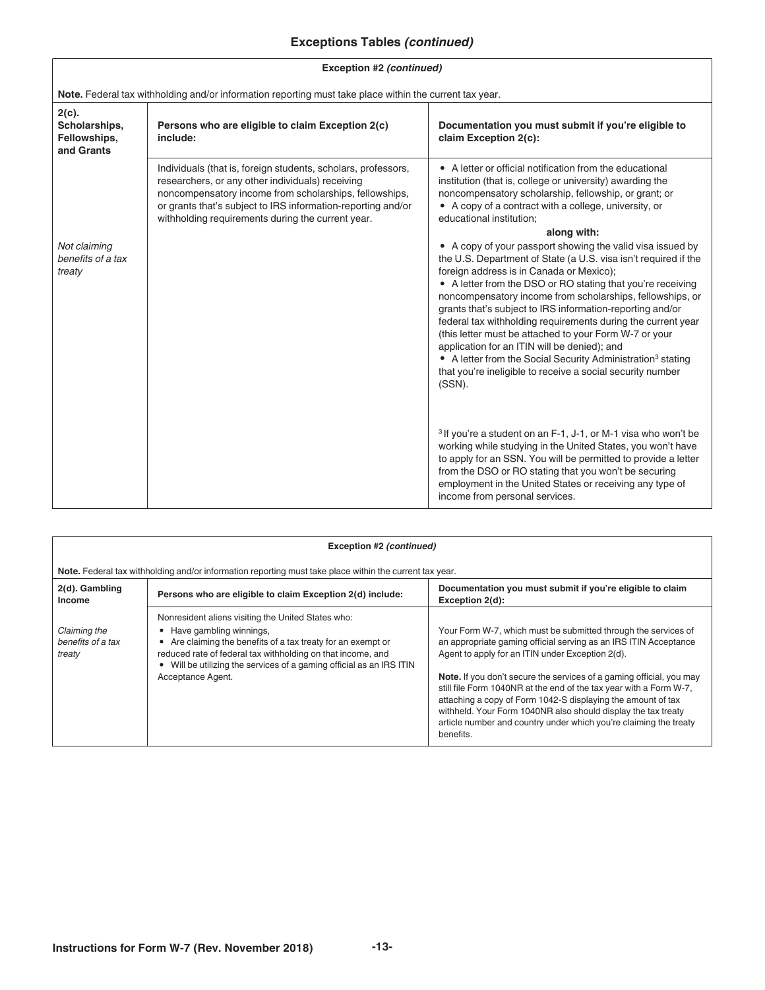#### **Exceptions Tables** *(continued)*

#### **Exception #2** *(continued)*

| Note. Federal tax withholding and/or information reporting must take place within the current tax year. |                                                                                                                                                                                                                                                                                                  |                                                                                                                                                                                                                                                                                                                                                                                                                                                                                                                                                                                                                                                                                                 |  |
|---------------------------------------------------------------------------------------------------------|--------------------------------------------------------------------------------------------------------------------------------------------------------------------------------------------------------------------------------------------------------------------------------------------------|-------------------------------------------------------------------------------------------------------------------------------------------------------------------------------------------------------------------------------------------------------------------------------------------------------------------------------------------------------------------------------------------------------------------------------------------------------------------------------------------------------------------------------------------------------------------------------------------------------------------------------------------------------------------------------------------------|--|
| $2(c)$ .<br>Scholarships,<br>Fellowships,<br>and Grants                                                 | Persons who are eligible to claim Exception 2(c)<br>include:                                                                                                                                                                                                                                     | Documentation you must submit if you're eligible to<br>claim Exception 2(c):                                                                                                                                                                                                                                                                                                                                                                                                                                                                                                                                                                                                                    |  |
|                                                                                                         | Individuals (that is, foreign students, scholars, professors,<br>researchers, or any other individuals) receiving<br>noncompensatory income from scholarships, fellowships,<br>or grants that's subject to IRS information-reporting and/or<br>withholding requirements during the current year. | • A letter or official notification from the educational<br>institution (that is, college or university) awarding the<br>noncompensatory scholarship, fellowship, or grant; or<br>• A copy of a contract with a college, university, or<br>educational institution;                                                                                                                                                                                                                                                                                                                                                                                                                             |  |
|                                                                                                         |                                                                                                                                                                                                                                                                                                  | along with:                                                                                                                                                                                                                                                                                                                                                                                                                                                                                                                                                                                                                                                                                     |  |
| Not claiming<br>benefits of a tax<br>treaty                                                             |                                                                                                                                                                                                                                                                                                  | • A copy of your passport showing the valid visa issued by<br>the U.S. Department of State (a U.S. visa isn't required if the<br>foreign address is in Canada or Mexico);<br>• A letter from the DSO or RO stating that you're receiving<br>noncompensatory income from scholarships, fellowships, or<br>grants that's subject to IRS information-reporting and/or<br>federal tax withholding requirements during the current year<br>(this letter must be attached to your Form W-7 or your<br>application for an ITIN will be denied); and<br>• A letter from the Social Security Administration <sup>3</sup> stating<br>that you're ineligible to receive a social security number<br>(SSN). |  |
|                                                                                                         |                                                                                                                                                                                                                                                                                                  | <sup>3</sup> If you're a student on an F-1, J-1, or M-1 visa who won't be<br>working while studying in the United States, you won't have<br>to apply for an SSN. You will be permitted to provide a letter<br>from the DSO or RO stating that you won't be securing<br>employment in the United States or receiving any type of<br>income from personal services.                                                                                                                                                                                                                                                                                                                               |  |

| Exception #2 (continued)                    |                                                                                                                                                                                                                                                                                                         |                                                                                                                                                                                                                                                                                                                                                                                                                                                                                                                                                         |
|---------------------------------------------|---------------------------------------------------------------------------------------------------------------------------------------------------------------------------------------------------------------------------------------------------------------------------------------------------------|---------------------------------------------------------------------------------------------------------------------------------------------------------------------------------------------------------------------------------------------------------------------------------------------------------------------------------------------------------------------------------------------------------------------------------------------------------------------------------------------------------------------------------------------------------|
|                                             | Note. Federal tax withholding and/or information reporting must take place within the current tax year.                                                                                                                                                                                                 |                                                                                                                                                                                                                                                                                                                                                                                                                                                                                                                                                         |
| 2(d). Gambling<br><b>Income</b>             | Persons who are eligible to claim Exception 2(d) include:                                                                                                                                                                                                                                               | Documentation you must submit if you're eligible to claim<br>Exception 2(d):                                                                                                                                                                                                                                                                                                                                                                                                                                                                            |
| Claiming the<br>benefits of a tax<br>treaty | Nonresident aliens visiting the United States who:<br>• Have gambling winnings,<br>Are claiming the benefits of a tax treaty for an exempt or<br>reduced rate of federal tax withholding on that income, and<br>Will be utilizing the services of a gaming official as an IRS ITIN<br>Acceptance Agent. | Your Form W-7, which must be submitted through the services of<br>an appropriate gaming official serving as an IRS ITIN Acceptance<br>Agent to apply for an ITIN under Exception 2(d).<br>Note. If you don't secure the services of a gaming official, you may<br>still file Form 1040NR at the end of the tax year with a Form W-7,<br>attaching a copy of Form 1042-S displaying the amount of tax<br>withheld. Your Form 1040NR also should display the tax treaty<br>article number and country under which you're claiming the treaty<br>benefits. |